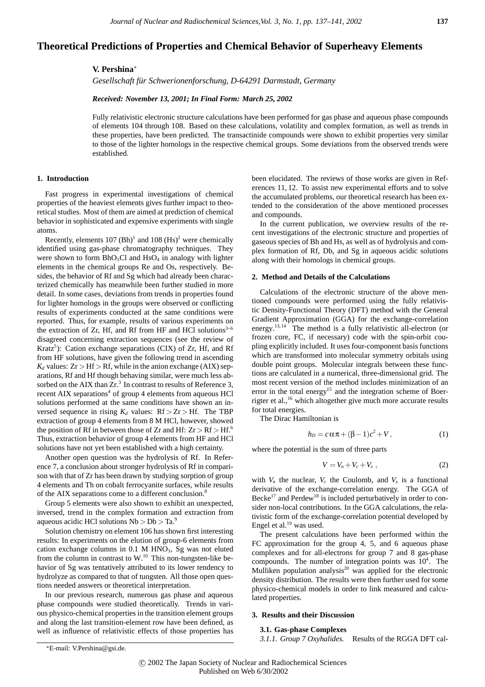# **Theoretical Predictions of Properties and Chemical Behavior of Superheavy Elements**

## **V. Pershina**<sup>∗</sup>

*Gesellschaft fur Schwerionenforschung, D-64291 Darmstadt, Germany ¨*

*Received: November 13, 2001; In Final Form: March 25, 2002*

Fully relativistic electronic structure calculations have been performed for gas phase and aqueous phase compounds of elements 104 through 108. Based on these calculations, volatility and complex formation, as well as trends in these properties, have been predicted. The transactinide compounds were shown to exhibit properties very similar to those of the lighter homologs in the respective chemical groups. Some deviations from the observed trends were established.

## **1. Introduction**

Fast progress in experimental investigations of chemical properties of the heaviest elements gives further impact to theoretical studies. Most of them are aimed at prediction of chemical behavior in sophisticated and expensive experiments with single atoms.

Recently, elements  $107 \text{ (Bh)}^1$  and  $108 \text{ (Hs)}^2$  were chemically identified using gas-phase chromatography techniques. They were shown to form  $BhO_3Cl$  and  $HsO_4$  in analogy with lighter elements in the chemical groups Re and Os, respectively. Besides, the behavior of Rf and Sg which had already been characterized chemically has meanwhile been further studied in more detail. In some cases, deviations from trends in properties found for lighter homologs in the groups were observed or conflicting results of experiments conducted at the same conditions were reported. Thus, for example, results of various experiments on the extraction of Zr, Hf, and Rf from HF and HCl solutions $3-6$ disagreed concerning extraction sequences (see the review of Kratz<sup>5</sup>): Cation exchange separations (CIX) of Zr, Hf, and Rf from HF solutions, have given the following trend in ascending  $K_d$  values:  $Zr > Hf > Rf$ , while in the anion exchange (AIX) separations, Rf and Hf though behaving similar, were much less absorbed on the AIX than  $Zr^3$ . In contrast to results of Reference 3, recent AIX separations<sup>4</sup> of group 4 elements from aqueous HCl solutions performed at the same conditions have shown an inversed sequence in rising  $K_d$  values:  $Rf > Zr > Hf$ . The TBP extraction of group 4 elements from 8 M HCl, however, showed the position of Rf in between those of Zr and Hf:  $Zr > Rf > Hf$ .<sup>6</sup> Thus, extraction behavior of group 4 elements from HF and HCl solutions have not yet been established with a high certainty.

Another open question was the hydrolysis of Rf. In Reference 7, a conclusion about stronger hydrolysis of Rf in comparison with that of Zr has been drawn by studying sorption of group 4 elements and Th on cobalt ferrocyanite surfaces, while results of the AIX separations come to a different conclusion.<sup>8</sup>

Group 5 elements were also shown to exhibit an unexpected, inversed, trend in the complex formation and extraction from aqueous acidic HCl solutions Nb *>* Db *>* Ta.<sup>9</sup>

Solution chemistry on element 106 has shown first interesting results: In experiments on the elution of group-6 elements from cation exchange columns in  $0.1$  M HNO<sub>3</sub>, Sg was not eluted from the column in contrast to W.<sup>10</sup> This non-tungsten-like behavior of Sg was tentatively attributed to its lower tendency to hydrolyze as compared to that of tungsten. All those open questions needed answers or theoretical interpretation.

In our previous research, numerous gas phase and aqueous phase compounds were studied theoretically. Trends in various physico-chemical properties in the transition element groups and along the last transition-element row have been defined, as well as influence of relativistic effects of those properties has

In the current publication, we overview results of the recent investigations of the electronic structure and properties of gaseous species of Bh and Hs, as well as of hydrolysis and complex formation of Rf, Db, and Sg in aqueous acidic solutions along with their homologs in chemical groups.

### **2. Method and Details of the Calculations**

Calculations of the electronic structure of the above mentioned compounds were performed using the fully relativistic Density-Functional Theory (DFT) method with the General Gradient Approximation (GGA) for the exchange-correlation energy.13,14 The method is a fully relativistic all-electron (or frozen core, FC, if necessary) code with the spin-orbit coupling explicitly included. It uses four-component basis functions which are transformed into molecular symmetry orbitals using double point groups. Molecular integrals between these functions are calculated in a numerical, three-dimensional grid. The most recent version of the method includes minimization of an error in the total energy<sup>15</sup> and the integration scheme of Boerrigter et al.,  $^{16}$  which altogether give much more accurate results for total energies.

The Dirac Hamiltonian is

$$
h_D = c \alpha \pi + (\beta - 1)c^2 + V, \qquad (1)
$$

where the potential is the sum of three parts

$$
V = V_n + V_c + V_x , \qquad (2)
$$

with  $V_n$  the nuclear,  $V_c$  the Coulomb, and  $V_x$  is a functional derivative of the exchange-correlation energy. The GGA of Becke<sup>17</sup> and Perdew<sup>18</sup> is included perturbatively in order to consider non-local contributions. In the GGA calculations, the relativistic form of the exchange-correlation potential developed by Engel et al.<sup>19</sup> was used.

The present calculations have been performed within the FC approximation for the group 4, 5, and 6 aqueous phase complexes and for all-electrons for group 7 and 8 gas-phase compounds. The number of integration points was  $10<sup>4</sup>$ . The Mulliken population analysis<sup>20</sup> was applied for the electronic density distribution. The results were then further used for some physico-chemical models in order to link measured and calculated properties.

#### **3. Results and their Discussion**

## **3.1. Gas-phase Complexes**

*3.1.1. Group 7 Oxyhalides.* Results of the RGGA DFT cal-

been elucidated. The reviews of those works are given in References 11, 12. To assist new experimental efforts and to solve the accumulated problems, our theoretical research has been extended to the consideration of the above mentioned processes and compounds.

<sup>∗</sup>E-mail: V.Pershina@gsi.de.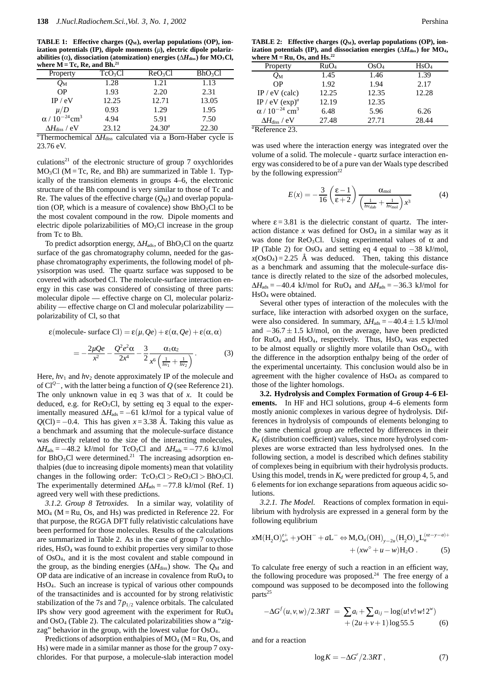**TABLE 1:** Effective charges  $(Q_M)$ , overlap populations (OP), ion**ization potentials (IP), dipole moments (***µ***), electric dipole polarizabilities (** $\alpha$ **), dissociation (atomization) energies (** $\Delta H_{\text{diss}}$ **) for MO<sub>3</sub>Cl,** where  $M = Tc$ , Re, and Bh.<sup>21</sup>

| Property                            | $TcO_3Cl$ | ReO <sub>3</sub> Cl | BhO <sub>3</sub> Cl |  |
|-------------------------------------|-----------|---------------------|---------------------|--|
| $\mathcal{O}_\mathrm{M}$            | 1.28      | 1.21                | 1.13                |  |
| <b>OP</b>                           | 1.93      | 2.20                | 2.31                |  |
| IP / eV                             | 12.25     | 12.71               | 13.05               |  |
| $\mu/D$                             | 0.93      | 1.29                | 1.95                |  |
| $\alpha / 10^{-24}$ cm <sup>3</sup> | 4.94      | 5.91                | 7.50                |  |
| $\Delta H_\mathrm{diss}$ / eV       | 23.12     | $24.30^{a}$         | 22.30               |  |
|                                     |           |                     |                     |  |

*a* Thermochemical ∆*H*diss calculated via a Born-Haber cycle is 23.76 eV.

culations<sup>21</sup> of the electronic structure of group 7 oxychlorides  $MO<sub>3</sub>Cl$  (M = Tc, Re, and Bh) are summarized in Table 1. Typically of the transition elements in groups 4–6, the electronic structure of the Bh compound is very similar to those of Tc and Re. The values of the effective charge  $(Q_M)$  and overlap population (OP, which is a measure of covalence) show  $BhO_3Cl$  to be the most covalent compound in the row. Dipole moments and electric dipole polarizabilities of  $MO<sub>3</sub>Cl$  increase in the group from Tc to Bh.

To predict adsorption energy,  $\Delta H_{ads}$ , of BhO<sub>3</sub>Cl on the quartz surface of the gas chromatography column, needed for the gasphase chromatography experiments, the following model of physisorption was used. The quartz surface was supposed to be covered with adsorbed Cl. The molecule-surface interaction energy in this case was considered of consisting of three parts: molecular dipole — effective charge on Cl, molecular polarizability — effective charge on Cl and molecular polarizability polarizability of Cl, so that

$$
\varepsilon(\text{molecule- surface Cl}) = \varepsilon(\mu, Qe) + \varepsilon(\alpha, Qe) + \varepsilon(\alpha, \alpha)
$$

$$
=-\frac{2\mu Qe}{x^2}-\frac{Q^2e^2\alpha}{2x^4}-\frac{3}{2}\frac{\alpha_1\alpha_2}{x^6\left(\frac{1}{h\nu_1}+\frac{1}{h\nu_2}\right)}.
$$
(3)

Here,  $h\nu_1$  and  $h\nu_2$  denote approximately IP of the molecule and of Cl*<sup>Q</sup>*−, with the latter being a function of *Q* (see Reference 21). The only unknown value in eq 3 was that of *x*. It could be deduced, e.g. for  $\text{ReO}_3\text{Cl}$ , by setting eq 3 equal to the experimentally measured  $\Delta H_{ads} = -61$  kJ/mol for a typical value of  $Q$ (Cl) = −0.4. This has given  $x = 3.38$  Å. Taking this value as a benchmark and assuming that the molecule-surface distance was directly related to the size of the interacting molecules,  $\Delta H_{\text{ads}} = -48.2$  kJ/mol for TcO<sub>3</sub>Cl and  $\Delta H_{\text{ads}} = -77.6$  kJ/mol for BhO<sub>3</sub>Cl were determined.<sup>21</sup> The increasing adsorption enthalpies (due to increasing dipole moments) mean that volatility changes in the following order:  $TcO_3Cl > ReO_3Cl > BhO_3Cl$ . The experimentally determined  $\Delta H_{\text{ads}} = -77.8 \text{ kJ/mol}$  (Ref. 1) agreed very well with these predictions.

*3.1.2. Group 8 Tetroxides.* In a similar way, volatility of  $MO<sub>4</sub>$  (M = Ru, Os, and Hs) was predicted in Reference 22. For that purpose, the RGGA DFT fully relativistic calculations have been performed for those molecules. Results of the calculations are summarized in Table 2. As in the case of group 7 oxychlorides, HsO4 was found to exhibit properties very similar to those of OsO4, and it is the most covalent and stable compound in the group, as the binding energies ( $\Delta H$ <sub>diss</sub>) show. The *Q*<sub>M</sub> and OP data are indicative of an increase in covalence from  $RuO<sub>4</sub>$  to HsO4. Such an increase is typical of various other compounds of the transactinides and is accounted for by strong relativistic stabilization of the 7*s* and  $7p_{1/2}$  valence orbitals. The calculated IPs show very good agreement with the experiment for RuO4 and OsO4 (Table 2). The calculated polarizabilities show a "zigzag" behavior in the group, with the lowest value for OsO<sub>4</sub>.

Predictions of adsorption enthalpies of  $MO_4$  ( $M = Ru$ ,  $Os$ , and Hs) were made in a similar manner as those for the group 7 oxychlorides. For that purpose, a molecule-slab interaction model

**TABLE 2:** Effective charges  $(Q_M)$ , overlap populations (OP), ion**ization potentials (IP), and dissociation energies (**∆*H***diss) for MO4,** where  $\overline{\bf{M}}$  = Ru, Os, and Hs.<sup>22</sup>

| Property                            | RuO <sub>4</sub> | OsO <sub>4</sub> | HsO <sub>4</sub> |
|-------------------------------------|------------------|------------------|------------------|
| $Q_{\rm M}$                         | 1.45             | 1.46             | 1.39             |
| <b>OP</b>                           | 1.92             | 1.94             | 2.17             |
| $IP / eV$ (calc)                    | 12.25            | 12.35            | 12.28            |
| IP / eV $(exp)^a$                   | 12.19            | 12.35            |                  |
| $\alpha / 10^{-24}$ cm <sup>3</sup> | 6.48             | 5.96             | 6.26             |
| $\Delta H_\mathrm{diss}$ / eV       | 27.48            | 27.71            | 28.44            |
| $\sim$<br>$\sim$                    |                  |                  |                  |

*a* Reference 23.

was used where the interaction energy was integrated over the volume of a solid. The molecule - quartz surface interaction energy was considered to be of a pure van der Waals type described by the following expression $^{22}$ 

$$
E(x) = -\frac{3}{16} \left( \frac{\varepsilon - 1}{\varepsilon + 2} \right) \frac{\alpha_{\text{mol}}}{\left( \frac{1}{h v_{\text{slab}}} + \frac{1}{h v_{\text{mol}}} \right) x^3}
$$
(4)

where  $\epsilon$  = 3.81 is the dielectric constant of quartz. The interaction distance  $x$  was defined for  $OsO<sub>4</sub>$  in a similar way as it was done for ReO<sub>3</sub>Cl. Using experimental values of  $\alpha$  and IP (Table 2) for  $OsO<sub>4</sub>$  and setting eq 4 equal to  $-38$  kJ/mol,  $x$ (OsO<sub>4</sub>) = 2.25 Å was deduced. Then, taking this distance as a benchmark and assuming that the molecule-surface distance is directly related to the size of the adsorbed molecules,  $\Delta H_{\text{ads}} = -40.4$  kJ/mol for RuO<sub>4</sub> and  $\Delta H_{\text{ads}} = -36.3$  kJ/mol for HsO4 were obtained.

Several other types of interaction of the molecules with the surface, like interaction with adsorbed oxygen on the surface, were also considered. In summary,  $\Delta H_{ads} = -40.4 \pm 1.5 \text{ kJ/mol}$ and  $-36.7 \pm 1.5$  kJ/mol, on the average, have been predicted for  $RuO<sub>4</sub>$  and  $H<sub>s</sub>O<sub>4</sub>$ , respectively. Thus,  $H<sub>s</sub>O<sub>4</sub>$  was expected to be almost equally or slightly more volatile than OsO<sub>4</sub>, with the difference in the adsorption enthalpy being of the order of the experimental uncertainty. This conclusion would also be in agreement with the higher covalence of HsO4 as compared to those of the lighter homologs.

**3.2. Hydrolysis and Complex Formation of Group 4–6 Elements.** In HF and HCl solutions, group 4–6 elements form mostly anionic complexes in various degree of hydrolysis. Differences in hydrolysis of compounds of elements belonging to the same chemical group are reflected by differences in their  $K_d$  (distribution coefficient) values, since more hydrolysed complexes are worse extracted than less hydrolysed ones. In the following section, a model is described which defines stability of complexes being in equibrium with their hydrolysis products. Using this model, trends in  $K_d$  were predicted for group 4, 5, and 6 elements for ion exchange separations from aqueous acidic solutions.

*3.2.1. The Model.* Reactions of complex formation in equilibrium with hydrolysis are expressed in a general form by the following equlibrium

$$
xM(H_2O)_{w^{\circ}}^{z+} + yOH^- + aL^- \Leftrightarrow M_xO_u(OH)_{y-2u}(H_2O)_wL_a^{(xz-y-a)+}
$$
  
+ 
$$
+ (xw^{\circ} + u - w)H_2O .
$$
 (5)

To calculate free energy of such a reaction in an efficient way, the following procedure was proposed.<sup>24</sup> The free energy of a compound was supposed to be decomposed into the following parts<sup>25</sup>

$$
-\Delta G^{f}(u,v,w)/2.3RT = \sum a_{i} + \sum a_{ij} - \log(u!v!w!2^{w}) + (2u+v+1)\log 55.5
$$
 (6)

and for a reaction

$$
\log K = -\Delta G^r / 2.3RT \,,\tag{7}
$$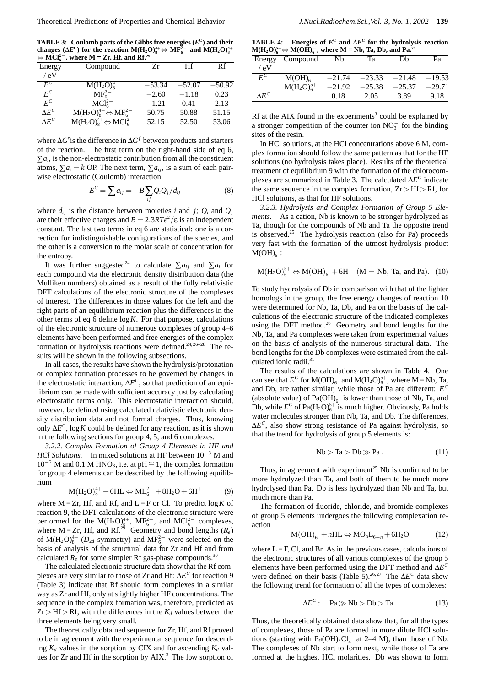**TABLE 3: Coulomb parts of the Gibbs free energies (***E***C) and their changes** ( $\Delta E^C$ ) for the reaction M( $H_2O_8^{4+}$   $\Leftrightarrow$  MF<sub>6</sub><sup>−</sup> and M( $H_2O_8^{4+}$ ) <sup>⇔</sup> **MCl2**<sup>−</sup> **<sup>6</sup> , where M = Zr, Hf, and Rf.29**

| $\forall$ in $\cup$ is | $\ldots$                                   |          |          |          |
|------------------------|--------------------------------------------|----------|----------|----------|
| Energy                 | Compound                                   | Zr       | Hf       | Rf       |
| / eV                   |                                            |          |          |          |
| $F^C$                  | $M(H_2O)_{8}^{4+}$                         | $-53.34$ | $-52.07$ | $-50.92$ |
| $F^C$                  | MF <sub>6</sub> <sup>2</sup>               | $-2.60$  | $-1.18$  | 0.23     |
| $E^C$                  | $MCl_{6}^{2-}$                             | $-1.21$  | 0.41     | 2.13     |
| $\Lambda E^C$          | $M(H_2O)_8^{4+} \Leftrightarrow MF_6^{2-}$ | 50.75    | 50.88    | 51.15    |
| $\Lambda F^C$          | $M(H_2O)84+ \Leftrightarrow MCl62-$        | 52.15    | 52.50    | 53.06    |

where ∆*Gr* is the difference in ∆*G<sup>f</sup>* between products and starters of the reaction. The first term on the right-hand side of eq 6,  $\sum a_i$ , is the non-electrostatic contribution from all the constituent atoms,  $\sum a_i = k$  OP. The next term,  $\sum a_{ij}$ , is a sum of each pairwise electrostatic (Coulomb) interaction:

$$
E^C = \sum a_{ij} = -B \sum_{ij} Q_i Q_j / d_{ij} \tag{8}
$$

where  $d_{ij}$  is the distance between moieties *i* and *j*;  $Q_i$  and  $Q_j$ are their effective charges and  $B = 2.3RTe^2/\epsilon$  is an independent constant. The last two terms in eq 6 are statistical: one is a correction for indistinguishable configurations of the species, and the other is a conversion to the molar scale of concentration for the entropy.

It was further suggested<sup>24</sup> to calculate  $\sum a_{ij}$  and  $\sum a_i$  for each compound via the electronic density distribution data (the Mulliken numbers) obtained as a result of the fully relativistic DFT calculations of the electronic structure of the complexes of interest. The differences in those values for the left and the right parts of an equilibrium reaction plus the differences in the other terms of eq 6 define log*K*. For that purpose, calculations of the electronic structure of numerous complexes of group 4–6 elements have been performed and free energies of the complex formation or hydrolysis reactions were defined.24,26–28 The results will be shown in the following subsections.

In all cases, the results have shown the hydrolysis/protonation or complex formation processes to be governed by changes in the electrostatic interaction, ∆*E<sup>C</sup>*, so that prediction of an equilibrium can be made with sufficient accuracy just by calculating electrostatic terms only. This electrostatic interaction should, however, be defined using calculated relativistic electronic density distribution data and not formal charges. Thus, knowing only ∆*E<sup>C</sup>*, log*K* could be defined for any reaction, as it is shown in the following sections for group 4, 5, and 6 complexes.

*3.2.2. Complex Formation of Group 4 Elements in HF and HCl Solutions.* In mixed solutions at HF between 10<sup>−3</sup> M and  $10^{-2}$  M and 0.1 M HNO<sub>3</sub>, i.e. at pH  $\cong$  1, the complex formation for group 4 elements can be described by the following equilibrium

$$
M(H_2O)_8^{4+} + 6HL \Leftrightarrow ML_6^{2-} + 8H_2O + 6H^+
$$
 (9)

where  $M = Zr$ , Hf, and Rf, and  $L = F$  or Cl. To predict  $\log K$  of reaction 9, the DFT calculations of the electronic structure were performed for the M(H<sub>2</sub>O)<sup>4+</sup>, MF<sup>2</sup><sup>-</sup><sub>6</sub>, and MCl<sup>2</sup><sup>-</sup><sub>6</sub> complexes, where  $M = Zr$ , Hf, and Rf.<sup>29</sup> Geometry and bond lengths ( $R_e$ ) of  $M(H_2O)_8^{4+}$  ( $D_{2d}$ -symmetry) and  $MF_6^{2-}$  were selected on the basis of analysis of the structural data for Zr and Hf and from calculated  $R_e$  for some simpler Rf gas-phase compounds.<sup>30</sup>

The calculated electronic structure data show that the Rf complexes are very similar to those of Zr and Hf: ∆*E<sup>C</sup>* for reaction 9 (Table 3) indicate that Rf should form complexes in a similar way as Zr and Hf, only at slightly higher HF concentrations. The sequence in the complex formation was, therefore, predicted as  $Zr > Hf > Rf$ , with the differences in the  $K_d$  values between the three elements being very small.

The theoretically obtained sequence for Zr, Hf, and Rf proved to be in agreement with the experimental sequence for descending  $K_d$  values in the sorption by CIX and for ascending  $K_d$  values for  $Zr$  and Hf in the sorption by  $AIX<sup>3</sup>$ . The low sorption of

**TABLE 4:** Energies of  $E^c$  and  $\Delta E^c$  for the hydrolysis reaction  $M(H<sub>2</sub>O)<sup>5+</sup><sub>6</sub>$   $\leftrightarrow$   $M(OH)<sup>-</sup><sub>6</sub>$ , where M = Nb, Ta, Db, and Pa.<sup>24</sup>

| Energy        | Compound           | Nb       | Ta       | Dh       | Pа       |
|---------------|--------------------|----------|----------|----------|----------|
| ′ eV          |                    |          |          |          |          |
| $E^{\rm C}$   | M(OH) <sub>6</sub> | $-21.74$ | $-23.33$ | $-21.48$ | $-19.53$ |
|               | $M(H_2O)_{6}^{5+}$ | $-21.92$ | $-25.38$ | $-25.37$ | $-29.71$ |
| $\Lambda E^C$ |                    | 0.18     | 2.05     | 3.89     | 9.18     |

Rf at the AIX found in the experiments<sup>3</sup> could be explained by a stronger competition of the counter ion  $NO<sub>3</sub><sup>-</sup>$  for the binding sites of the resin.

In HCl solutions, at the HCl concentrations above 6 M, complex formation should follow the same pattern as that for the HF solutions (no hydrolysis takes place). Results of the theoretical treatment of equilibrium 9 with the formation of the chlorocomplexes are summarized in Table 3. The calculated ∆*E<sup>C</sup>* indicate the same sequence in the complex formation, Zr *>* Hf *>* Rf, for HCl solutions, as that for HF solutions.

*3.2.3. Hydrolysis and Complex Formation of Group 5 Elements.* As a cation, Nb is known to be stronger hydrolyzed as Ta, though for the compounds of Nb and Ta the opposite trend is observed.<sup>25</sup> The hydrolysis reaction (also for Pa) proceeds very fast with the formation of the utmost hydrolysis product  $M(OH)_6^-$ :

$$
M(H_2O)_6^{5+} \Leftrightarrow M(OH)_6^- + 6H^+ \ \ (M = Nb, Ta, and Pa). \ \ (10)
$$

To study hydrolysis of Db in comparison with that of the lighter homologs in the group, the free energy changes of reaction 10 were determined for Nb, Ta, Db, and Pa on the basis of the calculations of the electronic structure of the indicated complexes using the DFT method.<sup>26</sup> Geometry and bond lengths for the Nb, Ta, and Pa complexes were taken from experimental values on the basis of analysis of the numerous structural data. The bond lengths for the Db complexes were estimated from the calculated ionic radii.<sup>31</sup>

The results of the calculations are shown in Table 4. One can see that  $E^C$  for M(OH)<sub>6</sub><sup>-</sup> and M(H<sub>2</sub>O)<sup>5+</sup>, where M = Nb, Ta<sub>2</sub> and Db, are rather similar, while those of Pa are different: *E<sup>C</sup>* (absolute value) of  $Pa(OH)<sub>6</sub>$  is lower than those of Nb, Ta, and Db, while  $E^C$  of Pa(H<sub>2</sub>O)<sup>5+</sup> is much higher. Obviously, Pa holds water molecules stronger than Nb, Ta, and Db. The differences, ∆*E<sup>C</sup>*, also show strong resistance of Pa against hydrolysis, so that the trend for hydrolysis of group 5 elements is:

$$
Nb > Ta > Db \gg Pa.
$$
 (11)

Thus, in agreement with experiment<sup>25</sup> Nb is confirmed to be more hydrolyzed than Ta, and both of them to be much more hydrolysed than Pa. Db is less hydrolyzed than Nb and Ta, but much more than Pa.

The formation of fluoride, chloride, and bromide complexes of group 5 elements undergoes the following complexation reaction

$$
M(OH)_6^- + nHL \Leftrightarrow MO_nL_{6-n}^- + 6H_2O \tag{12}
$$

where  $L = F$ , Cl, and Br. As in the previous cases, calculations of the electronic structures of all various complexes of the group 5 elements have been performed using the DFT method and ∆*E<sup>C</sup>* were defined on their basis (Table 5).<sup>26,27</sup> The Δ*E<sup>C</sup>* data show the following trend for formation of all the types of complexes:

$$
\Delta E^C: \quad \text{Pa} \gg \text{Nb} > \text{Db} > \text{Ta} \,. \tag{13}
$$

Thus, the theoretically obtained data show that, for all the types of complexes, those of Pa are formed in more dilute HCl solutions (starting with Pa(OH)<sub>2</sub>Cl<sub>4</sub><sup>-</sup> at 2–4 M), than those of Nb. The complexes of Nb start to form next, while those of Ta are formed at the highest HCl molarities. Db was shown to form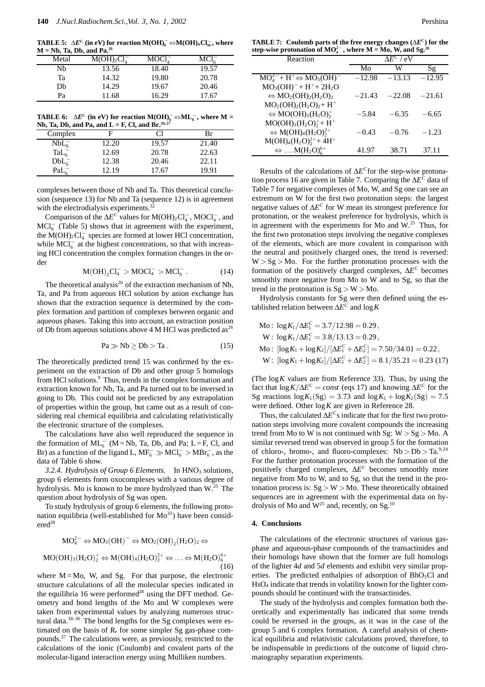**TABLE 5:**  $\Delta E^{\text{C}}$  (in eV) for reaction M(OH)<sub>6</sub> ⇔M(OH)<sub>n</sub>Cl<sub>m</sub>, where **M = Nb, Ta, Db, and Pa.26**

| Metal | M(OH) <sub>2</sub> Cl <sub>4</sub> | MOCl <sup>-</sup> | $MCl_{\epsilon}^-$ |
|-------|------------------------------------|-------------------|--------------------|
| Nb    | 13.56                              | 18.40             | 19.57              |
| Ta    | 14.32                              | 19.80             | 20.78              |
| Dh    | 14.29                              | 19.67             | 20.46              |
| Pa    | 11.68                              | 16.29             | 17.67              |

**TABLE 6:**  $\Delta E^{\text{C}}$  (in eV) for reaction M(OH)<sub>0</sub><sup>−</sup>  $\Leftrightarrow$ ML<sub>0</sub><sup>−</sup>, where M =

| Nb, Ta, Db, and Pa, and L = F, Cl, and Br. <sup>26,27</sup> |       |       |       |  |  |
|-------------------------------------------------------------|-------|-------|-------|--|--|
| Complex                                                     |       | ΩT    | Br    |  |  |
| NbL <sub>6</sub>                                            | 12.20 | 19.57 | 21.40 |  |  |
| $\text{TaL}_6^-$                                            | 12.69 | 20.78 | 22.63 |  |  |
| $DbL_6^-$                                                   | 12.38 | 20.46 | 22.11 |  |  |
| PaL.                                                        | 12.19 | 17.67 | 19.91 |  |  |

complexes between those of Nb and Ta. This theoretical conclusion (sequence 13) for Nb and Ta (sequence 12) is in agreement with the electrodialysis experiments.<sup>3</sup>

Comparison of the  $\Delta E^C$  values for M(OH)<sub>2</sub>Cl<sub>4</sub><sup>-</sup>, MOCl<sub>4</sub><sup>-</sup>, and  $MCl<sub>6</sub><sup>-</sup>$  (Table 5) shows that in agreement with the experiment, the  $M(OH)_2Cl_4^-$  species are formed at lower HCl concentration, while  $MCl_6^-$  at the highest concentrations, so that with increasing HCl concentration the complex formation changes in the order

$$
M(OH)_2Cl_4^- > MOCl_4^- > MCl_6^-.
$$
 (14)

The theoretical analysis<sup>26</sup> of the extraction mechanism of Nb, Ta, and Pa from aqueous HCl solution by anion exchange has shown that the extraction sequence is determined by the complex formation and partition of complexes between organic and aqueous phases. Taking this into account, an extraction position of Db from aqueous solutions above 4 M HCl was predicted as<sup>26</sup>

$$
Pa \gg Nb \ge Db > Ta.
$$
 (15)

The theoretically predicted trend 15 was confirmed by the experiment on the extraction of Db and other group 5 homologs from HCl solutions.<sup>9</sup> Thus, trends in the complex formation and extraction known for Nb, Ta, and Pa turned out to be inversed in going to Db. This could not be predicted by any extrapolation of properties within the group, but came out as a result of considering real chemical equilibria and calculating relativistically the electronic structure of the complexes.

The calculations have also well reproduced the sequence in the formation of  $ML_6^-$  (M = Nb, Ta, Db, and Pa; L = F, Cl, and Br) as a function of the ligand L,  $MF_6^- \gg MCl_6^- > MBr_6^-$ , as the data of Table 6 show.

3.2.4. Hydrolysis of Group 6 Elements. In HNO<sub>3</sub> solutions, group 6 elements form oxocomplexes with a various degree of hydrolysis. Mo is known to be more hydrolyzed than W.<sup>25</sup> The question about hydrolysis of Sg was open.

To study hydrolysis of group 6 elements, the following protonation equilibria (well-established for  $Mo^{33}$ ) have been consid $ered<sup>28</sup>$ 

$$
MO_4^{2-} \Leftrightarrow MO_3(OH)^- \Leftrightarrow MO_2(OH)_2(H_2O)_2 \Leftrightarrow
$$
  

$$
MO(OH)_3(H_2O)_2^+ \Leftrightarrow M(OH)_4(H_2O)_2^{2+} \Leftrightarrow \dots \Leftrightarrow M(H_2O)_6^{6+}
$$
  
(16)

where  $M = Mo$ , W, and Sg. For that purpose, the electronic structure calculations of all the molecular species indicated in the equilibria 16 were performed<sup>28</sup> using the DFT method. Geometry and bond lengths of the Mo and W complexes were taken from experimental values by analyzing numerous structural data. $34-36$  The bond lengths for the Sg complexes were estimated on the basis of  $R_e$  for some simpler Sg gas-phase compounds.37 The calculations were, as previously, restricted to the calculations of the ionic (Coulomb) and covalent parts of the molecular-ligand interaction energy using Mulliken numbers.

**TABLE 7: Coulomb parts of the free energy changes (**∆*E***C) for the step-wise protonation of MO2**<sup>−</sup> **<sup>4</sup> , where M = Mo, W, and Sg.28**

| Reaction                                                                            | $\Delta F^C$ / eV |          |          |
|-------------------------------------------------------------------------------------|-------------------|----------|----------|
|                                                                                     | Mo                | W        | Sg       |
| $MO42 - H+ \Leftrightarrow MO3(OH)-$                                                | $-12.98$          | $-13.13$ | $-12.95$ |
| $MO_3(OH)^- + H^+ + 2H_2O$                                                          |                   |          |          |
| $\Leftrightarrow$ MO <sub>2</sub> (OH) <sub>2</sub> (H <sub>2</sub> O) <sub>2</sub> | $-21.43$          | $-22.08$ | $-21.61$ |
| $MO_2(OH)_2(H_2O)_2 + H^+$                                                          |                   |          |          |
| $\Leftrightarrow \text{MO}(\text{OH})_3(\text{H}_2\text{O})_2^+$                    | $-5.84$           | $-6.35$  | $-6.65$  |
| $MO(OH)_{3}(H_{2}O)_{2}^{+}+H^{+}$                                                  |                   |          |          |
| $\Leftrightarrow M(OH)_4(H_2O)_2^{2+}$                                              | $-0.43$           | $-0.76$  | $-1.23$  |
| $M(OH)4(H2O)22+ + 4H+$                                                              |                   |          |          |
| $\Leftrightarrow$ M(H <sub>2</sub> O) <sup>6+</sup>                                 | 41.97             | 38.71    | 37.11    |

Results of the calculations of ∆*E<sup>C</sup>*for the step-wise protonation process 16 are given in Table 7. Comparing the ∆*E<sup>C</sup>* data of Table 7 for negative complexes of Mo, W, and Sg one can see an extremum on W for the first two protonation steps: the largest negative values of ∆*E<sup>C</sup>* for W mean its strongest preference for protonation, or the weakest preference for hydrolysis, which is in agreement with the experiments for Mo and  $W<sup>25</sup>$ . Thus, for the first two protonation steps involving the negative complexes of the elements, which are more covalent in comparison with the neutral and positively charged ones, the trend is reversed: W *>* Sg *>* Mo. For the further protonation processes with the formation of the positively charged complexes, ∆*E<sup>C</sup>* becomes smoothly more negative from Mo to W and to Sg, so that the trend in the protonation is Sg *>* W *>* Mo.

Hydrolysis constants for Sg were then defined using the established relation between ∆*E<sup>C</sup>* and log*K*

Mo: 
$$
\log K_1/\Delta E_1^C = 3.7/12.98 = 0.29
$$
,  
\nW:  $\log K_1/\Delta E_1^C = 3.8/13.13 = 0.29$ ,  
\nMo:  $\left[\log K_1 + \log K_2\right] / \left[\Delta E_1^C + \Delta E_2^C\right] = 7.50/34.01 = 0.22$ ,  
\nW:  $\left[\log K_1 + \log K_2\right] / \left[\Delta E_1^C + \Delta E_2^C\right] = 8.1/35.21 = 0.23$  (17)

(The  $\log K$  values are from Reference 33). Thus, by using the fact that  $\log K/\Delta E^C = const$  (eqs 17) and knowing  $\Delta E^C$  for the Sg reactions  $\log K_1(Sg) = 3.73$  and  $\log K_1 + \log K_2(Sg) = 7.5$ were defined. Other log*K* are given in Reference 28.

Thus, the calculated ∆*E<sup>C</sup>*s indicate that for the first two protonation steps involving more covalent compounds the increasing trend from Mo to W is not continued with Sg: W *>* Sg *>* Mo. A similar reversed trend was observed in group 5 for the formation of chloro-, bromo-, and fluoro-complexes: Nb *>* Db *>* Ta.9,24 For the further protonation processes with the formation of the positively charged complexes, ∆*E<sup>C</sup>* becomes smoothly more negative from Mo to W, and to Sg, so that the trend in the protonation process is: Sg *>* W *>* Mo. These theoretically obtained sequences are in agreement with the experimental data on hydrolysis of Mo and  $W^{25}$  and, recently, on Sg.<sup>10</sup>

#### **4. Conclusions**

The calculations of the electronic structures of various gasphase and aqueous-phase compounds of the transactinides and their homologs have shown that the former are full homologs of the lighter 4*d* and 5*d* elements and exhibit very similar properties. The predicted enthalpies of adsorption of BhO3Cl and HsO4 indicate that trends in volatility known for the lighter compounds should be continued with the transactinides.

The study of the hydrolysis and complex formation both theoretically and experimentally has indicated that some trends could be reversed in the groups, as it was in the case of the group 5 and 6 complex formation. A careful analysis of chemical equilibria and relativistic calculations proved, therefore, to be indispensable in predictions of the outcome of liquid chromatography separation experiments.